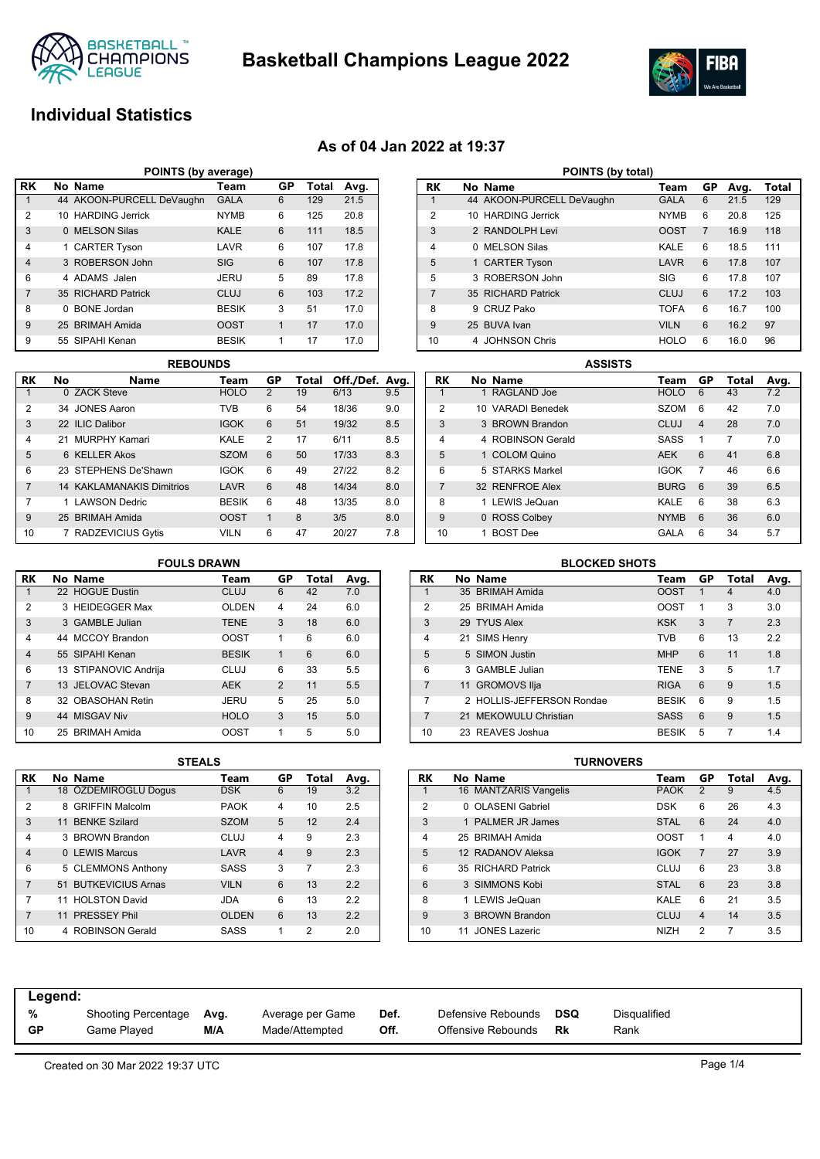

**Basketball Champions League 2022**



# **Individual Statistics**

## **As of 04 Jan 2022 at 19:37**

|                | POINTS (by average) |                           |              |             |       |      |  |  |  |  |  |  |
|----------------|---------------------|---------------------------|--------------|-------------|-------|------|--|--|--|--|--|--|
| l RK           |                     | No Name                   | Team         | GP          | Total | Avg. |  |  |  |  |  |  |
| 1              |                     | 44 AKOON-PURCELL DeVaughn | <b>GALA</b>  | 6           | 129   | 21.5 |  |  |  |  |  |  |
| $\overline{2}$ |                     | 10 HARDING Jerrick        | <b>NYMB</b>  | 6           | 125   | 20.8 |  |  |  |  |  |  |
| 3              |                     | 0 MELSON Silas            | <b>KALE</b>  | 6           | 111   | 18.5 |  |  |  |  |  |  |
| $\overline{4}$ |                     | 1 CARTER Tyson            | LAVR         | 6           | 107   | 17.8 |  |  |  |  |  |  |
| $\overline{4}$ |                     | 3 ROBERSON John           | <b>SIG</b>   | 6           | 107   | 17.8 |  |  |  |  |  |  |
| 6              |                     | 4 ADAMS Jalen             | <b>JERU</b>  | 5           | 89    | 17.8 |  |  |  |  |  |  |
| $\overline{7}$ |                     | 35 RICHARD Patrick        | CLUJ         | 6           | 103   | 17.2 |  |  |  |  |  |  |
| 8              | 0                   | <b>BONE</b> Jordan        | <b>BESIK</b> | 3           | 51    | 17.0 |  |  |  |  |  |  |
| 9              |                     | 25 BRIMAH Amida           | <b>OOST</b>  | $\mathbf 1$ | 17    | 17.0 |  |  |  |  |  |  |
| 9              |                     | 55 SIPAHI Kenan           | <b>BESIK</b> | 1           | 17    | 17.0 |  |  |  |  |  |  |

|           | <b>REBOUNDS</b> |                                  |              |                |       |                |     |  |  |  |  |  |
|-----------|-----------------|----------------------------------|--------------|----------------|-------|----------------|-----|--|--|--|--|--|
| <b>RK</b> | No              | Name                             | Team         | GP             | Total | Off./Def. Avg. |     |  |  |  |  |  |
|           |                 | 0 ZACK Steve                     | <b>HOLO</b>  | $\overline{2}$ | 19    | 6/13           | 9.5 |  |  |  |  |  |
| 2         |                 | 34 JONES Aaron                   | TVB          | 6              | 54    | 18/36          | 9.0 |  |  |  |  |  |
| 3         |                 | 22 ILIC Dalibor                  | <b>IGOK</b>  | 6              | 51    | 19/32          | 8.5 |  |  |  |  |  |
| 4         |                 | 21 MURPHY Kamari                 | KALE         | $\mathfrak{p}$ | 17    | 6/11           | 8.5 |  |  |  |  |  |
| 5         |                 | 6 KELLER Akos                    | <b>SZOM</b>  | 6              | 50    | 17/33          | 8.3 |  |  |  |  |  |
| 6         |                 | 23 STEPHENS De'Shawn             | <b>IGOK</b>  | 6              | 49    | 27/22          | 8.2 |  |  |  |  |  |
| 7         |                 | <b>14 KAKLAMANAKIS Dimitrios</b> | LAVR         | 6              | 48    | 14/34          | 8.0 |  |  |  |  |  |
| 7         |                 | 1 LAWSON Dedric                  | <b>BESIK</b> | 6              | 48    | 13/35          | 8.0 |  |  |  |  |  |
| 9         |                 | 25 BRIMAH Amida                  | <b>OOST</b>  | 1              | 8     | 3/5            | 8.0 |  |  |  |  |  |
| 10        | 7               | <b>RADZEVICIUS Gytis</b>         | <b>VILN</b>  | 6              | 47    | 20/27          | 7.8 |  |  |  |  |  |

|                | POINTS (by total) |                           |             |                |      |       |  |  |  |  |  |  |
|----------------|-------------------|---------------------------|-------------|----------------|------|-------|--|--|--|--|--|--|
| RK             |                   | No Name                   | Team        | GP             | Avg. | Total |  |  |  |  |  |  |
| 1              |                   | 44 AKOON-PURCELL DeVaughn | <b>GALA</b> | 6              | 21.5 | 129   |  |  |  |  |  |  |
| $\overline{2}$ |                   | 10 HARDING Jerrick        | <b>NYMB</b> | 6              | 20.8 | 125   |  |  |  |  |  |  |
| 3              |                   | 2 RANDOLPH Levi           | <b>OOST</b> | $\overline{7}$ | 16.9 | 118   |  |  |  |  |  |  |
| 4              | 0                 | <b>MELSON Silas</b>       | KALE        | 6              | 18.5 | 111   |  |  |  |  |  |  |
| 5              |                   | 1 CARTER Tyson            | LAVR        | 6              | 17.8 | 107   |  |  |  |  |  |  |
| 5              |                   | 3 ROBERSON John           | <b>SIG</b>  | 6              | 178  | 107   |  |  |  |  |  |  |
| $\overline{7}$ |                   | 35 RICHARD Patrick        | <b>CLUJ</b> | 6              | 17.2 | 103   |  |  |  |  |  |  |
| 8              | 9                 | CRUZ Pako                 | <b>TOFA</b> | 6              | 16.7 | 100   |  |  |  |  |  |  |
| 9              |                   | 25 BUVA Ivan              | <b>VILN</b> | 6              | 16.2 | 97    |  |  |  |  |  |  |
| 10             | 4                 | <b>JOHNSON Chris</b>      | <b>HOLO</b> | 6              | 16.0 | 96    |  |  |  |  |  |  |

|                |                   | <b>ASSISTS</b> |             |                |       |      |
|----------------|-------------------|----------------|-------------|----------------|-------|------|
| RK             | No Name           |                | Team        | GP             | Total | Avg. |
|                | 1 RAGLAND Joe     |                | <b>HOLO</b> | 6              | 43    | 7.2  |
| $\overline{2}$ | 10 VARADI Benedek |                | <b>SZOM</b> | 6              | 42    | 7.0  |
| 3              | 3 BROWN Brandon   |                | <b>CLUJ</b> | $\overline{4}$ | 28    | 7.0  |
| $\overline{4}$ | 4 ROBINSON Gerald |                | SASS        | 1              | 7     | 7.0  |
| 5              | 1 COLOM Quino     |                | <b>AEK</b>  | 6              | 41    | 6.8  |
| 6              | 5 STARKS Markel   |                | <b>IGOK</b> | 7              | 46    | 6.6  |
| $\overline{7}$ | 32 RENFROE Alex   |                | <b>BURG</b> | 6              | 39    | 6.5  |
| 8              | 1 LEWIS JeQuan    |                | KALE        | 6              | 38    | 6.3  |
| 9              | 0 ROSS Colbey     |                | <b>NYMB</b> | 6              | 36    | 6.0  |
| 10             | <b>BOST Dee</b>   |                | GALA        | 6              | 34    | 5.7  |

|                | <b>FOULS DRAWN</b> |                       |              |                |       |      |  |  |  |  |  |  |
|----------------|--------------------|-----------------------|--------------|----------------|-------|------|--|--|--|--|--|--|
| RK             |                    | No Name               | Team         | GP             | Total | Avg. |  |  |  |  |  |  |
|                |                    | 22 HOGUE Dustin       | CLUJ         | 6              | 42    | 7.0  |  |  |  |  |  |  |
| $\overline{2}$ |                    | 3 HEIDEGGER Max       | <b>OLDEN</b> | 4              | 24    | 6.0  |  |  |  |  |  |  |
| 3              |                    | 3 GAMBLE Julian       | <b>TENE</b>  | 3              | 18    | 6.0  |  |  |  |  |  |  |
| 4              |                    | 44 MCCOY Brandon      | <b>OOST</b>  | 1              | 6     | 6.0  |  |  |  |  |  |  |
| $\overline{4}$ |                    | 55 SIPAHI Kenan       | <b>BESIK</b> | 1              | 6     | 6.0  |  |  |  |  |  |  |
| 6              |                    | 13 STIPANOVIC Andrija | CLUJ         | 6              | 33    | 5.5  |  |  |  |  |  |  |
| $\overline{7}$ |                    | 13 JELOVAC Stevan     | <b>AEK</b>   | $\overline{2}$ | 11    | 5.5  |  |  |  |  |  |  |
| 8              |                    | 32 OBASOHAN Retin     | JERU         | 5              | 25    | 5.0  |  |  |  |  |  |  |
| 9              |                    | 44 MISGAV Niv         | <b>HOLO</b>  | 3              | 15    | 5.0  |  |  |  |  |  |  |
| 10             |                    | 25 BRIMAH Amida       | OOST         | 1              | 5     | 5.0  |  |  |  |  |  |  |

| RK             | No Name                   | Team         | GP | Total | Avg. |
|----------------|---------------------------|--------------|----|-------|------|
| 1              | 35 BRIMAH Amida           | <b>OOST</b>  | 1  | 4     | 4.0  |
| $\mathfrak{p}$ | 25 BRIMAH Amida           | <b>OOST</b>  | 1  | 3     | 3.0  |
| 3              | 29 TYUS Alex              | <b>KSK</b>   | 3  |       | 2.3  |
| 4              | 21 SIMS Henry             | <b>TVB</b>   | 6  | 13    | 2.2  |
| 5              | 5 SIMON Justin            | <b>MHP</b>   | 6  | 11    | 1.8  |
| 6              | 3 GAMBLE Julian           | <b>TENE</b>  | 3  | 5     | 1.7  |
| $\overline{7}$ | 11 GROMOVS Ilja           | <b>RIGA</b>  | 6  | 9     | 1.5  |
| 7              | 2 HOLLIS-JEFFERSON Rondae | <b>BESIK</b> | 6  | 9     | 1.5  |
| 7              | 21 MEKOWULU Christian     | <b>SASS</b>  | 6  | 9     | 1.5  |
| 10             | 23 REAVES Joshua          | <b>BESIK</b> | 5  |       | 1.4  |

|                |   |                        | SIEALS       |                |       |      |
|----------------|---|------------------------|--------------|----------------|-------|------|
| RK             |   | No Name                | Team         | GP             | Total | Avg. |
| $\mathbf{1}$   |   | 18 ÖZDEMIROGLU Dogus   | <b>DSK</b>   | 6              | 19    | 3.2  |
| $\overline{2}$ | 8 | <b>GRIFFIN Malcolm</b> | <b>PAOK</b>  | 4              | 10    | 2.5  |
| 3              |   | 11 BENKE Szilard       | <b>SZOM</b>  | 5              | 12    | 2.4  |
| 4              |   | 3 BROWN Brandon        | CLUJ         | 4              | 9     | 2.3  |
| $\overline{4}$ |   | 0 LEWIS Marcus         | LAVR         | $\overline{4}$ | 9     | 2.3  |
| 6              |   | 5 CLEMMONS Anthony     | SASS         | 3              | 7     | 2.3  |
| 7              |   | 51 BUTKEVICIUS Arnas   | <b>VILN</b>  | 6              | 13    | 2.2  |
| 7              |   | 11 HOLSTON David       | JDA          | 6              | 13    | 2.2  |
| $\overline{7}$ |   | 11 PRESSEY Phil        | <b>OLDEN</b> | 6              | 13    | 2.2  |
| 10             |   | 4 ROBINSON Gerald      | SASS         | 1              | 2     | 2.0  |

| <b>STEALS</b> |              |                |       |      |           |    |                       | <b>TURNOVERS</b> |             |                |       |      |
|---------------|--------------|----------------|-------|------|-----------|----|-----------------------|------------------|-------------|----------------|-------|------|
|               | Team         | GP             | Total | Avg. | <b>RK</b> |    | No Name               |                  | Team        | GР             | Total | Avg. |
|               | <b>DSK</b>   | 6              | 19    | 3.2  |           |    | 16 MANTZARIS Vangelis |                  | <b>PAOK</b> | 2              | 9     | 4.5  |
|               | <b>PAOK</b>  | 4              | 10    | 2.5  | 2         |    | 0 OLASENI Gabriel     |                  | <b>DSK</b>  | 6              | 26    | 4.3  |
|               | <b>SZOM</b>  | 5              | 12    | 2.4  | 3         |    | 1 PALMER JR James     |                  | <b>STAL</b> | 6              | 24    | 4.0  |
|               | <b>CLUJ</b>  | 4              | 9     | 2.3  | 4         |    | 25 BRIMAH Amida       |                  | <b>OOST</b> | 1              | 4     | 4.0  |
|               | LAVR         | $\overline{4}$ | 9     | 2.3  | 5         |    | 12 RADANOV Aleksa     |                  | <b>IGOK</b> | 7              | 27    | 3.9  |
|               | <b>SASS</b>  | 3              | 7     | 2.3  | 6         |    | 35 RICHARD Patrick    |                  | <b>CLUJ</b> | 6              | 23    | 3.8  |
|               | <b>VILN</b>  | 6              | 13    | 2.2  | 6         |    | 3 SIMMONS Kobi        |                  | <b>STAL</b> | 6              | 23    | 3.8  |
|               | <b>JDA</b>   | 6              | 13    | 2.2  | 8         |    | 1 LEWIS JeQuan        |                  | KALE        | 6              | 21    | 3.5  |
|               | <b>OLDEN</b> | 6              | 13    | 2.2  | 9         |    | 3 BROWN Brandon       |                  | <b>CLUJ</b> | 4              | 14    | 3.5  |
|               | <b>SASS</b>  | 1              | 2     | 2.0  | 10        | 11 | <b>JONES Lazeric</b>  |                  | <b>NIZH</b> | $\overline{2}$ | 7     | 3.5  |

| Legend:   |                     |      |                  |      |                    |     |              |
|-----------|---------------------|------|------------------|------|--------------------|-----|--------------|
| %         | Shooting Percentage | Avg. | Average per Game | Def. | Defensive Rebounds | DSQ | Disqualified |
| <b>GP</b> | Game Played         | M/A  | Made/Attempted   | Off. | Offensive Rebounds | Rk  | Rank         |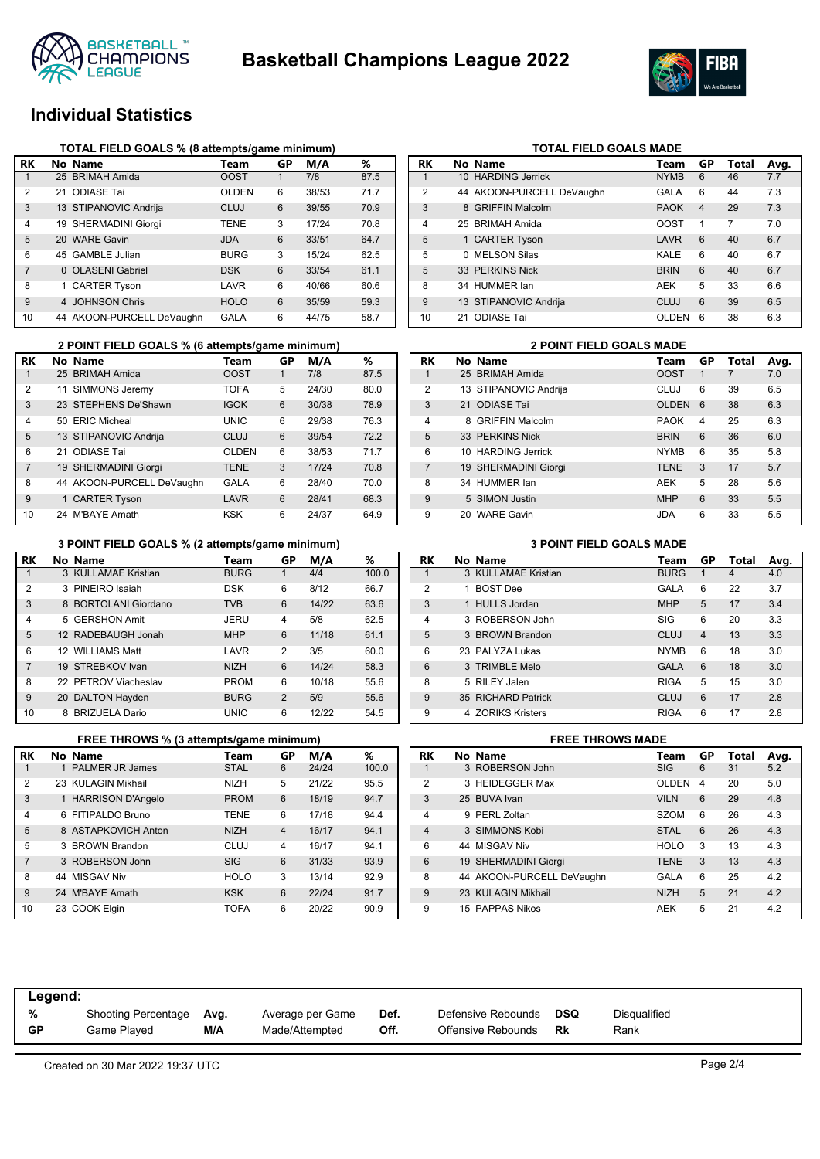



# **Individual Statistics**

|                | TOTAL FIELD GOALS % (8 attempts/game minimum) |              |    |       |      |
|----------------|-----------------------------------------------|--------------|----|-------|------|
| RK             | No Name                                       | Team         | GP | M/A   | ℅    |
|                | 25 BRIMAH Amida                               | <b>OOST</b>  |    | 7/8   | 87.5 |
| $\overline{2}$ | 21 ODIASE Tai                                 | <b>OLDEN</b> | 6  | 38/53 | 71.7 |
| 3              | 13 STIPANOVIC Andrija                         | CLUJ         | 6  | 39/55 | 70.9 |
| 4              | 19 SHERMADINI Giorgi                          | <b>TENE</b>  | 3  | 17/24 | 70.8 |
| 5              | 20 WARE Gavin                                 | <b>JDA</b>   | 6  | 33/51 | 64.7 |
| 6              | 45 GAMBLE Julian                              | <b>BURG</b>  | 3  | 15/24 | 62.5 |
| 7              | 0 OLASENI Gabriel                             | <b>DSK</b>   | 6  | 33/54 | 61.1 |
| 8              | 1 CARTER Tyson                                | LAVR         | 6  | 40/66 | 60.6 |
| 9              | 4 JOHNSON Chris                               | <b>HOLO</b>  | 6  | 35/59 | 59.3 |
| 10             | 44 AKOON-PURCELL DeVaughn                     | GALA         | 6  | 44/75 | 58.7 |

|                | 2 POINT FIELD GOALS % (6 attempts/game minimum) |              |           |       | <b>2 POINT FIELD GOALS MADE</b> |           |                       |             |
|----------------|-------------------------------------------------|--------------|-----------|-------|---------------------------------|-----------|-----------------------|-------------|
| RK             | No Name                                         | Team         | <b>GP</b> | M/A   | %                               | <b>RK</b> | No Name               | Team        |
|                | 25 BRIMAH Amida                                 | <b>OOST</b>  |           | 7/8   | 87.5                            |           | 25 BRIMAH Amida       | <b>OOST</b> |
| 2              | 11 SIMMONS Jeremy                               | <b>TOFA</b>  | 5         | 24/30 | 80.0                            | 2         | 13 STIPANOVIC Andrija | <b>CLUJ</b> |
| 3              | 23 STEPHENS De'Shawn                            | <b>IGOK</b>  | 6         | 30/38 | 78.9                            | 3         | 21 ODIASE Tai         | <b>OLDE</b> |
| 4              | 50 ERIC Micheal                                 | <b>UNIC</b>  | 6         | 29/38 | 76.3                            | 4         | 8 GRIFFIN Malcolm     | <b>PAOK</b> |
| 5              | 13 STIPANOVIC Andrija                           | <b>CLUJ</b>  | 6         | 39/54 | 72.2                            | 5         | 33 PERKINS Nick       | <b>BRIN</b> |
| 6              | 21 ODIASE Tai                                   | <b>OLDEN</b> | 6         | 38/53 | 71.7                            | 6         | 10 HARDING Jerrick    | <b>NYMB</b> |
| $\overline{7}$ | 19 SHERMADINI Giorgi                            | <b>TENE</b>  | 3         | 17/24 | 70.8                            |           | 19 SHERMADINI Giorgi  | <b>TENE</b> |
| 8              | 44 AKOON-PURCELL DeVaughn                       | <b>GALA</b>  | 6         | 28/40 | 70.0                            | 8         | 34 HUMMER lan         | <b>AEK</b>  |
| 9              | 1 CARTER Tyson                                  | LAVR         | 6         | 28/41 | 68.3                            | 9         | 5 SIMON Justin        | <b>MHP</b>  |
| 10             | 24 M'BAYE Amath                                 | <b>KSK</b>   | 6         | 24/37 | 64.9                            | 9         | 20 WARE Gavin         | <b>JDA</b>  |

|    | 3 POINT FIELD GOALS % (2 attempts/game minimum) |             |    | <b>3 POINT FIELD GOALS MADE</b> |       |           |                     |             |
|----|-------------------------------------------------|-------------|----|---------------------------------|-------|-----------|---------------------|-------------|
| RK | No Name                                         | Team        | GP | M/A                             | %     | <b>RK</b> | No Name             | Team        |
|    | 3 KULLAMAE Kristian                             | <b>BURG</b> |    | 4/4                             | 100.0 |           | 3 KULLAMAE Kristian | <b>BURG</b> |
| 2  | 3 PINEIRO Isaiah                                | <b>DSK</b>  | 6  | 8/12                            | 66.7  | 2         | 1 BOST Dee          | <b>GALA</b> |
| 3  | 8 BORTOLANI Giordano                            | <b>TVB</b>  | 6  | 14/22                           | 63.6  | 3         | 1 HULLS Jordan      | <b>MHP</b>  |
| 4  | 5 GERSHON Amit                                  | <b>JERU</b> | 4  | 5/8                             | 62.5  | 4         | 3 ROBERSON John     | <b>SIG</b>  |
| 5  | 12 RADEBAUGH Jonah                              | <b>MHP</b>  | 6  | 11/18                           | 61.1  | 5         | 3 BROWN Brandon     | <b>CLUJ</b> |
| 6  | 12 WILLIAMS Matt                                | LAVR        | 2  | 3/5                             | 60.0  | 6         | 23 PALYZA Lukas     | <b>NYMB</b> |
|    | 19 STREBKOV Ivan                                | <b>NIZH</b> | 6  | 14/24                           | 58.3  | 6         | 3 TRIMBLE Melo      | <b>GALA</b> |
| 8  | 22 PETROV Viacheslav                            | <b>PROM</b> | 6  | 10/18                           | 55.6  | 8         | 5 RILEY Jalen       | <b>RIGA</b> |
| 9  | 20 DALTON Hayden                                | <b>BURG</b> | 2  | 5/9                             | 55.6  | 9         | 35 RICHARD Patrick  | <b>CLUJ</b> |
| 10 | 8 BRIZUELA Dario                                | <b>UNIC</b> | 6  | 12/22                           | 54.5  | 9         | 4 ZORIKS Kristers   | <b>RIGA</b> |

|                | FREE THROWS % (3 attempts/game minimum) |             |                | <b>FREE THROWS MADE</b> |       |                |  |                           |                |
|----------------|-----------------------------------------|-------------|----------------|-------------------------|-------|----------------|--|---------------------------|----------------|
| RK             | No Name                                 | Team        | GP             | M/A                     | %     | <b>RK</b>      |  | No Name                   | Τ              |
|                | PALMER JR James                         | <b>STAL</b> | 6              | 24/24                   | 100.0 |                |  | 3 ROBERSON John           | SI             |
| 2              | 23 KULAGIN Mikhail                      | <b>NIZH</b> | 5              | 21/22                   | 95.5  | $\overline{2}$ |  | 3 HEIDEGGER Max           | O              |
| 3              | 1 HARRISON D'Angelo                     | <b>PROM</b> | 6              | 18/19                   | 94.7  | 3              |  | 25 BUVA Ivan              | V <sub>l</sub> |
| 4              | 6 FITIPALDO Bruno                       | <b>TENE</b> | 6              | 17/18                   | 94.4  | 4              |  | 9 PERL Zoltan             | S.             |
| $5^{\circ}$    | 8 ASTAPKOVICH Anton                     | <b>NIZH</b> | $\overline{4}$ | 16/17                   | 94.1  | 4              |  | 3 SIMMONS Kobi            | S              |
| 5              | 3 BROWN Brandon                         | CLUJ        | 4              | 16/17                   | 94.1  | 6              |  | 44 MISGAV Niv             | H              |
| $\overline{7}$ | 3 ROBERSON John                         | <b>SIG</b>  | 6              | 31/33                   | 93.9  | 6              |  | 19 SHERMADINI Giorgi      | ΤI             |
| 8              | 44 MISGAV Niv                           | <b>HOLO</b> | 3              | 13/14                   | 92.9  | 8              |  | 44 AKOON-PURCELL DeVaughn | G.             |
| 9              | 24 M'BAYE Amath                         | <b>KSK</b>  | 6              | 22/24                   | 91.7  | 9              |  | 23 KULAGIN Mikhail        | N              |
| 10             | 23 COOK Elgin                           | <b>TOFA</b> | 6              | 20/22                   | 90.9  | 9              |  | 15 PAPPAS Nikos           | Al             |

| <b>RK</b> | No Name                   | Team        | GP | <b>Total</b> | Avg. |
|-----------|---------------------------|-------------|----|--------------|------|
| 1         | 10 HARDING Jerrick        | <b>NYMB</b> | 6  | 46           | 7.7  |
| 2         | 44 AKOON-PURCELL DeVaughn | GALA        | 6  | 44           | 7.3  |
| 3         | 8 GRIFFIN Malcolm         | <b>PAOK</b> | 4  | 29           | 7.3  |
| 4         | 25 BRIMAH Amida           | <b>OOST</b> | 1  | 7            | 7.0  |
| 5         | 1 CARTER Tyson            | LAVR        | 6  | 40           | 6.7  |
| 5         | 0 MELSON Silas            | KALE        | 6  | 40           | 6.7  |
| 5         | 33 PERKINS Nick           | <b>BRIN</b> | 6  | 40           | 6.7  |
| 8         | 34 HUMMER lan             | <b>AEK</b>  | 5  | 33           | 6.6  |
| 9         | 13 STIPANOVIC Andrija     | <b>CLUJ</b> | 6  | 39           | 6.5  |
| 10        | 21 ODIASE Tai             | OLDEN       | 6  | 38           | 6.3  |

**TOTAL FIELD GOALS MADE** 

|                | <b>2 POINT FIELD GOALS MADE</b> |                        |              |    |       |      |  |  |  |  |  |
|----------------|---------------------------------|------------------------|--------------|----|-------|------|--|--|--|--|--|
| RK             |                                 | No Name                | Team         | GP | Total | Avg. |  |  |  |  |  |
| 1              |                                 | 25 BRIMAH Amida        | <b>OOST</b>  | 1  |       | 7.0  |  |  |  |  |  |
| $\overline{2}$ |                                 | 13 STIPANOVIC Andrija  | CLUJ         | 6  | 39    | 6.5  |  |  |  |  |  |
| 3              |                                 | 21 ODIASE Tai          | <b>OLDEN</b> | 6  | 38    | 6.3  |  |  |  |  |  |
| $\overline{4}$ | 8                               | <b>GRIFFIN Malcolm</b> | <b>PAOK</b>  | 4  | 25    | 6.3  |  |  |  |  |  |
| 5              |                                 | 33 PERKINS Nick        | <b>BRIN</b>  | 6  | 36    | 6.0  |  |  |  |  |  |
| 6              |                                 | 10 HARDING Jerrick     | <b>NYMB</b>  | 6  | 35    | 5.8  |  |  |  |  |  |
| $\overline{7}$ |                                 | 19 SHERMADINI Giorgi   | <b>TENE</b>  | 3  | 17    | 5.7  |  |  |  |  |  |
| 8              |                                 | 34 HUMMER lan          | AEK          | 5  | 28    | 5.6  |  |  |  |  |  |
| 9              |                                 | 5 SIMON Justin         | <b>MHP</b>   | 6  | 33    | 5.5  |  |  |  |  |  |
| 9              |                                 | 20 WARE Gavin          | JDA          | 6  | 33    | 5.5  |  |  |  |  |  |

|                | 3 PUINT FIELD GUALS MADE |                     |             |                |                |      |  |  |  |  |  |  |
|----------------|--------------------------|---------------------|-------------|----------------|----------------|------|--|--|--|--|--|--|
| RK             |                          | No Name             | Team        | GP             | Total          | Avg. |  |  |  |  |  |  |
| 1              |                          | 3 KULLAMAE Kristian | <b>BURG</b> | 1              | $\overline{4}$ | 4.0  |  |  |  |  |  |  |
| $\mathfrak{p}$ |                          | <b>BOST Dee</b>     | GALA        | 6              | 22             | 3.7  |  |  |  |  |  |  |
| 3              |                          | 1 HULLS Jordan      | <b>MHP</b>  | 5              | 17             | 3.4  |  |  |  |  |  |  |
| $\overline{4}$ |                          | 3 ROBERSON John     | SIG         | 6              | 20             | 3.3  |  |  |  |  |  |  |
| 5              |                          | 3 BROWN Brandon     | CLUJ        | $\overline{4}$ | 13             | 3.3  |  |  |  |  |  |  |
| 6              |                          | 23 PALYZA Lukas     | <b>NYMB</b> | 6              | 18             | 3.0  |  |  |  |  |  |  |
| 6              |                          | 3 TRIMBLE Melo      | <b>GALA</b> | 6              | 18             | 3.0  |  |  |  |  |  |  |
| 8              |                          | 5 RILEY Jalen       | <b>RIGA</b> | 5              | 15             | 3.0  |  |  |  |  |  |  |
| 9              |                          | 35 RICHARD Patrick  | CLUJ        | 6              | 17             | 2.8  |  |  |  |  |  |  |
| 9              |                          | 4 ZORIKS Kristers   | <b>RIGA</b> | 6              | 17             | 2.8  |  |  |  |  |  |  |

|                | <b>FREE THROWS MADE</b> |                           |              |                  |       |      |  |  |  |  |
|----------------|-------------------------|---------------------------|--------------|------------------|-------|------|--|--|--|--|
| RK             |                         | No Name                   | Team         | GP               | Total | Avg. |  |  |  |  |
|                |                         | 3 ROBERSON John           | <b>SIG</b>   | 6                | 31    | 5.2  |  |  |  |  |
| 2              |                         | 3 HEIDEGGER Max           | <b>OLDEN</b> | $\boldsymbol{4}$ | 20    | 5.0  |  |  |  |  |
| 3              |                         | 25 BUVA Ivan              | <b>VILN</b>  | 6                | 29    | 4.8  |  |  |  |  |
| $\overline{4}$ | Q                       | PERL Zoltan               | <b>SZOM</b>  | 6                | 26    | 4.3  |  |  |  |  |
| $\overline{4}$ |                         | 3 SIMMONS Kobi            | <b>STAL</b>  | 6                | 26    | 4.3  |  |  |  |  |
| 6              |                         | 44 MISGAV Niv             | <b>HOLO</b>  | 3                | 13    | 4.3  |  |  |  |  |
| 6              |                         | 19 SHERMADINI Giorgi      | <b>TENE</b>  | 3                | 13    | 4.3  |  |  |  |  |
| 8              |                         | 44 AKOON-PURCELL DeVaughn | GALA         | 6                | 25    | 4.2  |  |  |  |  |
| 9              |                         | 23 KULAGIN Mikhail        | <b>NIZH</b>  | 5                | 21    | 4.2  |  |  |  |  |
| 9              |                         | 15 PAPPAS Nikos           | <b>AEK</b>   | 5                | 21    | 4.2  |  |  |  |  |
|                |                         |                           |              |                  |       |      |  |  |  |  |

| Legend: |                                    |             |                                    |              |                                          |           |                      |  |  |  |  |
|---------|------------------------------------|-------------|------------------------------------|--------------|------------------------------------------|-----------|----------------------|--|--|--|--|
| %<br>GP | Shooting Percentage<br>Game Played | Avg.<br>M/A | Average per Game<br>Made/Attempted | Def.<br>Off. | Defensive Rebounds<br>Offensive Rebounds | DSQ<br>Rk | Disqualified<br>Rank |  |  |  |  |
|         |                                    |             |                                    |              |                                          |           |                      |  |  |  |  |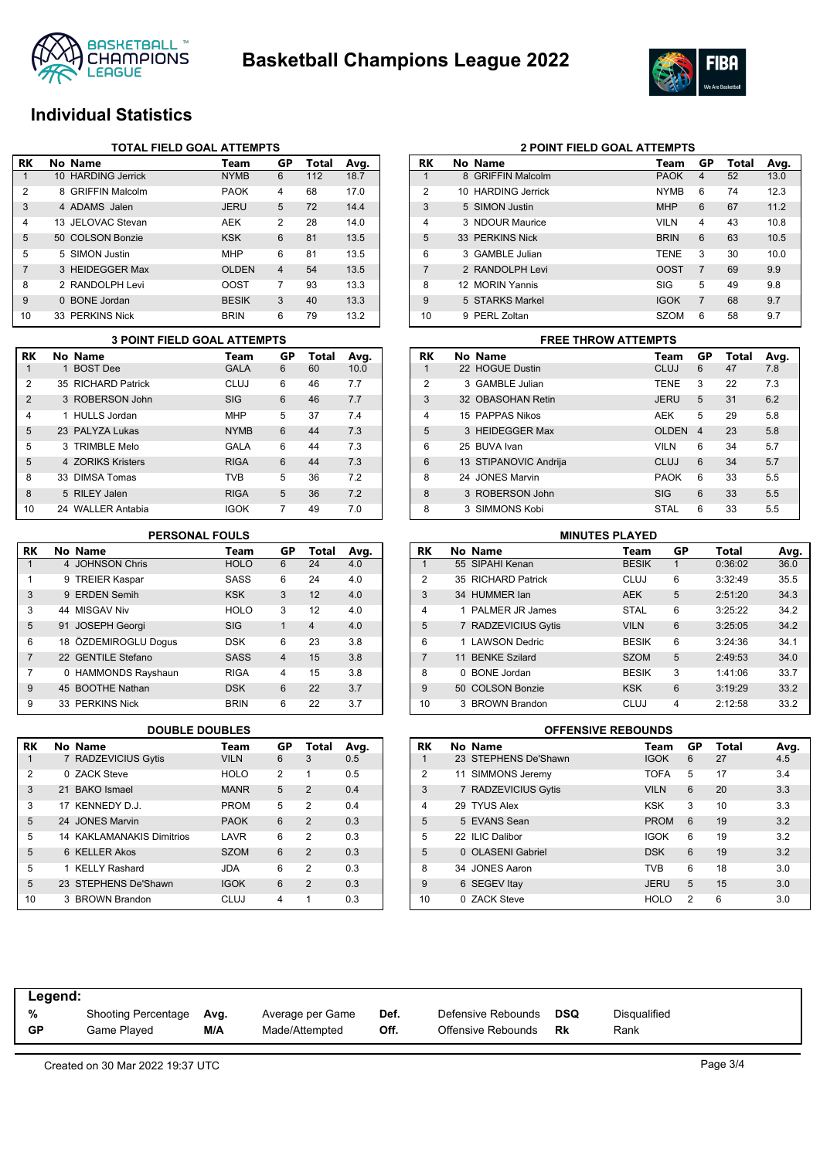



# **Individual Statistics**

|    | <b>TOTAL FIELD GOAL ATTEMPTS</b> |              |                         |       |      |  |  |  |  |  |
|----|----------------------------------|--------------|-------------------------|-------|------|--|--|--|--|--|
| RK | No Name                          | Team         | GP                      | Total | Avg. |  |  |  |  |  |
|    | 10 HARDING Jerrick               | <b>NYMB</b>  | 6                       | 112   | 18.7 |  |  |  |  |  |
| 2  | 8 GRIFFIN Malcolm                | <b>PAOK</b>  | 4                       | 68    | 17.0 |  |  |  |  |  |
| 3  | 4 ADAMS Jalen                    | <b>JERU</b>  | 5                       | 72    | 14.4 |  |  |  |  |  |
| 4  | 13 JFLOVAC Stevan                | <b>AEK</b>   | $\overline{2}$          | 28    | 14.0 |  |  |  |  |  |
| 5  | 50 COLSON Bonzie                 | <b>KSK</b>   | 6                       | 81    | 13.5 |  |  |  |  |  |
| 5  | 5 SIMON Justin                   | <b>MHP</b>   | 6                       | 81    | 13.5 |  |  |  |  |  |
| 7  | 3 HEIDEGGER Max                  | <b>OLDEN</b> | $\overline{\mathbf{4}}$ | 54    | 13.5 |  |  |  |  |  |
| 8  | 2 RANDOLPH Levi                  | <b>OOST</b>  | 7                       | 93    | 13.3 |  |  |  |  |  |
| 9  | <b>BONE</b> Jordan<br>$\Omega$   | <b>BESIK</b> | 3                       | 40    | 13.3 |  |  |  |  |  |
| 10 | 33 PERKINS Nick                  | <b>BRIN</b>  | 6                       | 79    | 13.2 |  |  |  |  |  |

|                | <b>3 POINT FIELD GOAL ATTEMPTS</b> |                    |             |    |       |      |  |  |  |  |
|----------------|------------------------------------|--------------------|-------------|----|-------|------|--|--|--|--|
| RK             |                                    | No Name            | Team        | GP | Total | Avg. |  |  |  |  |
| 1              | 1                                  | <b>BOST Dee</b>    | <b>GALA</b> | 6  | 60    | 10.0 |  |  |  |  |
| 2              |                                    | 35 RICHARD Patrick | CLUJ        | 6  | 46    | 7.7  |  |  |  |  |
| $\overline{2}$ |                                    | 3 ROBERSON John    | <b>SIG</b>  | 6  | 46    | 7.7  |  |  |  |  |
| 4              |                                    | 1 HULLS Jordan     | <b>MHP</b>  | 5  | 37    | 7.4  |  |  |  |  |
| 5              |                                    | 23 PALYZA Lukas    | <b>NYMB</b> | 6  | 44    | 7.3  |  |  |  |  |
| 5              |                                    | 3 TRIMBLE Melo     | GALA        | 6  | 44    | 7.3  |  |  |  |  |
| 5              |                                    | 4 70RIKS Kristers  | <b>RIGA</b> | 6  | 44    | 7.3  |  |  |  |  |
| 8              |                                    | 33 DIMSA Tomas     | <b>TVB</b>  | 5  | 36    | 7.2  |  |  |  |  |
| 8              |                                    | 5 RILEY Jalen      | <b>RIGA</b> | 5  | 36    | 7.2  |  |  |  |  |
| 10             |                                    | 24 WALLER Antabia  | <b>IGOK</b> | 7  | 49    | 7.0  |  |  |  |  |

### **PERSONAL FOULS**

| <b>RK</b> | No Name              | Team        | GP             | <b>Total</b>   | Avg. |
|-----------|----------------------|-------------|----------------|----------------|------|
| 1         | 4 JOHNSON Chris      | <b>HOLO</b> | 6              | 24             | 4.0  |
| 1         | 9 TREIER Kaspar      | <b>SASS</b> | 6              | 24             | 4.0  |
| 3         | 9 ERDEN Semih        | <b>KSK</b>  | 3              | 12             | 4.0  |
| 3         | 44 MISGAV Niv        | <b>HOLO</b> | 3              | 12             | 4.0  |
| 5         | 91 JOSEPH Georgi     | <b>SIG</b>  | 1              | $\overline{4}$ | 4.0  |
| 6         | 18 ÖZDEMIROGLU Doqus | <b>DSK</b>  | 6              | 23             | 3.8  |
| 7         | 22 GENTILE Stefano   | <b>SASS</b> | $\overline{4}$ | 15             | 3.8  |
| 7         | 0 HAMMONDS Rayshaun  | <b>RIGA</b> | 4              | 15             | 3.8  |
| 9         | 45 BOOTHE Nathan     | <b>DSK</b>  | 6              | 22             | 3.7  |
| 9         | 33 PERKINS Nick      | <b>BRIN</b> | 6              | 22             | 3.7  |

| RK |  | No Name                          | Team        | GP | Total          | Avg. |  |  |  |  |
|----|--|----------------------------------|-------------|----|----------------|------|--|--|--|--|
| 1  |  | 7 RADZEVICIUS Gytis              | <b>VILN</b> | 6  | 3              | 0.5  |  |  |  |  |
| 2  |  | 0 ZACK Steve                     | <b>HOLO</b> | 2  | 1              | 0.5  |  |  |  |  |
| 3  |  | 21 BAKO Ismael                   | <b>MANR</b> | 5  | $\mathcal{P}$  | 0.4  |  |  |  |  |
| 3  |  | 17 KENNEDY D.J.                  | <b>PROM</b> | 5  | 2              | 0.4  |  |  |  |  |
| 5  |  | 24 JONES Marvin                  | <b>PAOK</b> | 6  | $\overline{2}$ | 0.3  |  |  |  |  |
| 5  |  | <b>14 KAKLAMANAKIS Dimitrios</b> | LAVR        | 6  | 2              | 0.3  |  |  |  |  |
| 5  |  | 6 KELLER Akos                    | <b>SZOM</b> | 6  | $\mathcal{P}$  | 0.3  |  |  |  |  |
| 5  |  | 1 KELLY Rashard                  | JDA         | 6  | $\overline{2}$ | 0.3  |  |  |  |  |
| 5  |  | 23 STEPHENS De'Shawn             | <b>IGOK</b> | 6  | $\mathcal{P}$  | 0.3  |  |  |  |  |
| 10 |  | 3 BROWN Brandon                  | CLUJ        | 4  | 1              | 0.3  |  |  |  |  |

|                | <b>2 POINT FIELD GOAL ATTEMPTS</b> |                        |             |                |       |      |  |  |  |  |
|----------------|------------------------------------|------------------------|-------------|----------------|-------|------|--|--|--|--|
| RK             |                                    | No Name                | Team        | GP             | Total | Avg. |  |  |  |  |
| 1              | 8                                  | <b>GRIFFIN Malcolm</b> | <b>PAOK</b> | 4              | 52    | 13.0 |  |  |  |  |
| $\overline{2}$ | 10                                 | <b>HARDING Jerrick</b> | <b>NYMB</b> | 6              | 74    | 12.3 |  |  |  |  |
| 3              |                                    | 5 SIMON Justin         | <b>MHP</b>  | 6              | 67    | 11.2 |  |  |  |  |
| $\overline{4}$ |                                    | 3 NDOUR Maurice        | <b>VILN</b> | 4              | 43    | 10.8 |  |  |  |  |
| 5              |                                    | 33 PERKINS Nick        | <b>BRIN</b> | 6              | 63    | 10.5 |  |  |  |  |
| 6              |                                    | 3 GAMBLE Julian        | <b>TENE</b> | 3              | 30    | 10.0 |  |  |  |  |
| $\overline{7}$ |                                    | 2 RANDOLPH Levi        | <b>OOST</b> | $\overline{7}$ | 69    | 9.9  |  |  |  |  |
| 8              |                                    | 12 MORIN Yannis        | SIG         | 5              | 49    | 9.8  |  |  |  |  |
| 9              |                                    | 5 STARKS Markel        | <b>IGOK</b> | $\overline{7}$ | 68    | 9.7  |  |  |  |  |
| 10             | q                                  | PERL Zoltan            | <b>SZOM</b> | 6              | 58    | 9.7  |  |  |  |  |

### **RK No Name Team GP Total Avg.** 1 22 HOGUE Dustin CLUJ 6 47 7.8 2 3 GAMBLE Julian TENE 3 22 7.3 3 32 OBASOHAN Retin JERU 5 31 6.2 4 15 PAPPAS Nikos 6 29 5.8 5 3 HEIDEGGER Max OLDEN 4 23 5.8 6 25 BUVA Ivan VILN 6 34 5.7 6 13 STIPANOVIC Andrija CLUJ 6 34 5.7 8 24 JONES Marvin **PAOK 6 33 5.5** 8 3 ROBERSON John SIG 6 33 5.5 8 3 SIMMONS Kobi STAL 6 33 5.5 **3 POINT FIELD GOAL ATTEMPTS FREE THROW ATTEMPTS**

|                | <b>MINUTES PLAYED</b> |                      |              |    |         |      |  |  |  |  |  |
|----------------|-----------------------|----------------------|--------------|----|---------|------|--|--|--|--|--|
| RK             |                       | No Name              | Team         | GP | Total   | Avg. |  |  |  |  |  |
|                |                       | 55 SIPAHI Kenan      | <b>BESIK</b> | 1  | 0:36:02 | 36.0 |  |  |  |  |  |
| 2              |                       | 35 RICHARD Patrick   | CLUJ         | 6  | 3:32:49 | 35.5 |  |  |  |  |  |
| 3              |                       | 34 HUMMER lan        | <b>AEK</b>   | 5  | 2:51:20 | 34.3 |  |  |  |  |  |
| $\overline{4}$ |                       | PALMER JR James      | <b>STAL</b>  | 6  | 3:25:22 | 34.2 |  |  |  |  |  |
| 5              |                       | 7 RADZEVICIUS Gytis  | <b>VILN</b>  | 6  | 3:25:05 | 34.2 |  |  |  |  |  |
| 6              |                       | <b>LAWSON Dedric</b> | <b>BESIK</b> | 6  | 3:24:36 | 34.1 |  |  |  |  |  |
| $\overline{7}$ |                       | 11 BENKE Szilard     | <b>SZOM</b>  | 5  | 2:49:53 | 34.0 |  |  |  |  |  |
| 8              | <sup>n</sup>          | <b>BONE</b> Jordan   | <b>BESIK</b> | 3  | 1:41:06 | 33.7 |  |  |  |  |  |
| 9              |                       | 50 COLSON Bonzie     | <b>KSK</b>   | 6  | 3:19:29 | 33.2 |  |  |  |  |  |
| 10             | 3                     | <b>BROWN Brandon</b> | CLUJ         | 4  | 2:12:58 | 33.2 |  |  |  |  |  |

### **DOUBLE DOUBLES OFFENSIVE REBOUNDS**

| RK             |              | No Name                | Team        | GP | Total | Avg. |
|----------------|--------------|------------------------|-------------|----|-------|------|
| 1              |              | 23 STEPHENS De'Shawn   | <b>IGOK</b> | 6  | 27    | 4.5  |
| $\overline{2}$ |              | 11 SIMMONS Jeremy      | <b>TOFA</b> | 5  | 17    | 3.4  |
| 3              |              | 7 RADZEVICIUS Gytis    | <b>VILN</b> | 6  | 20    | 3.3  |
| $\overline{4}$ |              | 29 TYUS Alex           | KSK         | 3  | 10    | 3.3  |
| 5              |              | 5 EVANS Sean           | <b>PROM</b> | 6  | 19    | 3.2  |
| 5              |              | 22 ILIC Dalibor        | <b>IGOK</b> | 6  | 19    | 3.2  |
| 5              | <sup>n</sup> | <b>OLASENI Gabriel</b> | <b>DSK</b>  | 6  | 19    | 3.2  |
| 8              |              | 34 JONES Aaron         | <b>TVB</b>  | 6  | 18    | 3.0  |
| 9              |              | 6 SEGEV Itay           | <b>JERU</b> | 5  | 15    | 3.0  |
| 10             | <sup>n</sup> | <b>ZACK Steve</b>      | <b>HOLO</b> | 2  | 6     | 3.0  |

| Legend:   |                            |      |                  |      |                    |     |              |
|-----------|----------------------------|------|------------------|------|--------------------|-----|--------------|
| %         | <b>Shooting Percentage</b> | Avg. | Average per Game | Def. | Defensive Rebounds | DSQ | Disqualified |
| <b>GP</b> | Game Played                | M/A  | Made/Attempted   | Off. | Offensive Rebounds | Rk  | Rank         |